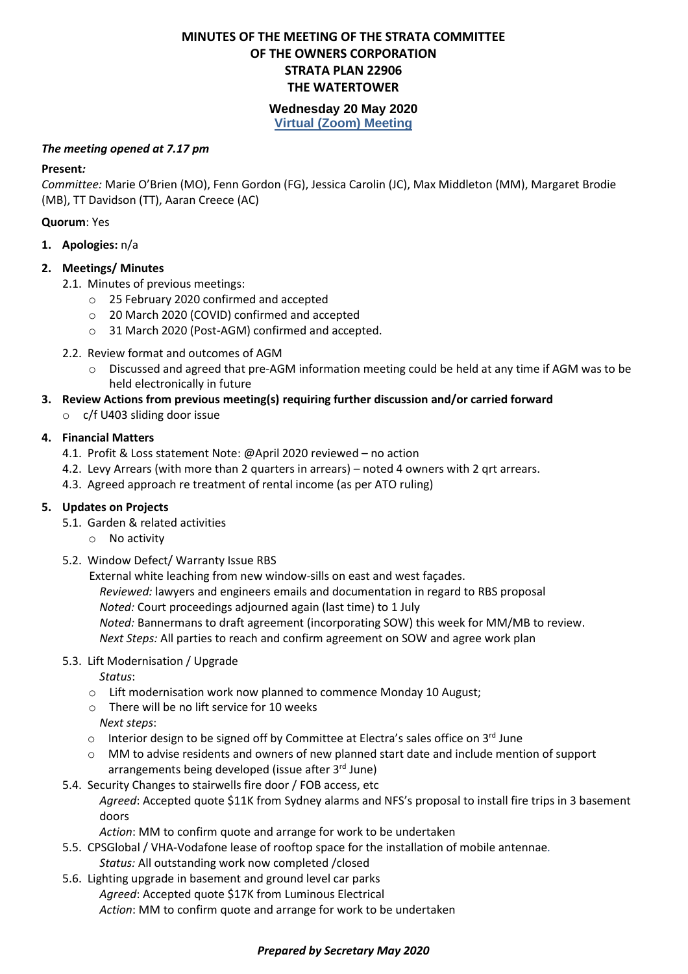# **MINUTES OF THE MEETING OF THE STRATA COMMITTEE OF THE OWNERS CORPORATION STRATA PLAN 22906 THE WATERTOWER**

### **Wednesday 20 May 2020 Virtual (Zoom) Meeting**

#### *The meeting opened at 7.17 pm*

#### **Present***:*

*Committee:* Marie O'Brien (MO), Fenn Gordon (FG), Jessica Carolin (JC), Max Middleton (MM), Margaret Brodie (MB), TT Davidson (TT), Aaran Creece (AC)

#### **Quorum**: Yes

**1. Apologies:** n/a

### **2. Meetings/ Minutes**

- 2.1. Minutes of previous meetings:
	- o 25 February 2020 confirmed and accepted
	- o 20 March 2020 (COVID) confirmed and accepted
	- o 31 March 2020 (Post-AGM) confirmed and accepted.
- 2.2. Review format and outcomes of AGM
	- o Discussed and agreed that pre-AGM information meeting could be held at any time if AGM was to be held electronically in future
- **3. Review Actions from previous meeting(s) requiring further discussion and/or carried forward**
	- o c/f U403 sliding door issue

#### **4. Financial Matters**

- 4.1. Profit & Loss statement Note: @April 2020 reviewed no action
- 4.2. Levy Arrears (with more than 2 quarters in arrears) noted 4 owners with 2 qrt arrears.
- 4.3. Agreed approach re treatment of rental income (as per ATO ruling)

### **5. Updates on Projects**

- 5.1. Garden & related activities
	- o No activity
- 5.2. Window Defect/ Warranty Issue RBS

 External white leaching from new window-sills on east and west façades. *Reviewed:* lawyers and engineers emails and documentation in regard to RBS proposal *Noted:* Court proceedings adjourned again (last time) to 1 July *Noted:* Bannermans to draft agreement (incorporating SOW) this week for MM/MB to review. *Next Steps:* All parties to reach and confirm agreement on SOW and agree work plan

#### 5.3. Lift Modernisation / Upgrade

*Status*:

- o Lift modernisation work now planned to commence Monday 10 August;
- o There will be no lift service for 10 weeks
- *Next steps*:
- $\circ$  Interior design to be signed off by Committee at Electra's sales office on 3<sup>rd</sup> June
- $\circ$  MM to advise residents and owners of new planned start date and include mention of support arrangements being developed (issue after 3<sup>rd</sup> June)
- 5.4. Security Changes to stairwells fire door / FOB access, etc
	- *Agreed*: Accepted quote \$11K from Sydney alarms and NFS's proposal to install fire trips in 3 basement doors

*Action*: MM to confirm quote and arrange for work to be undertaken

- 5.5. CPSGlobal / VHA-Vodafone lease of rooftop space for the installation of mobile antennae*. Status:* All outstanding work now completed /closed
- 5.6. Lighting upgrade in basement and ground level car parks *Agreed*: Accepted quote \$17K from Luminous Electrical *Action*: MM to confirm quote and arrange for work to be undertaken

### *Prepared by Secretary May 2020*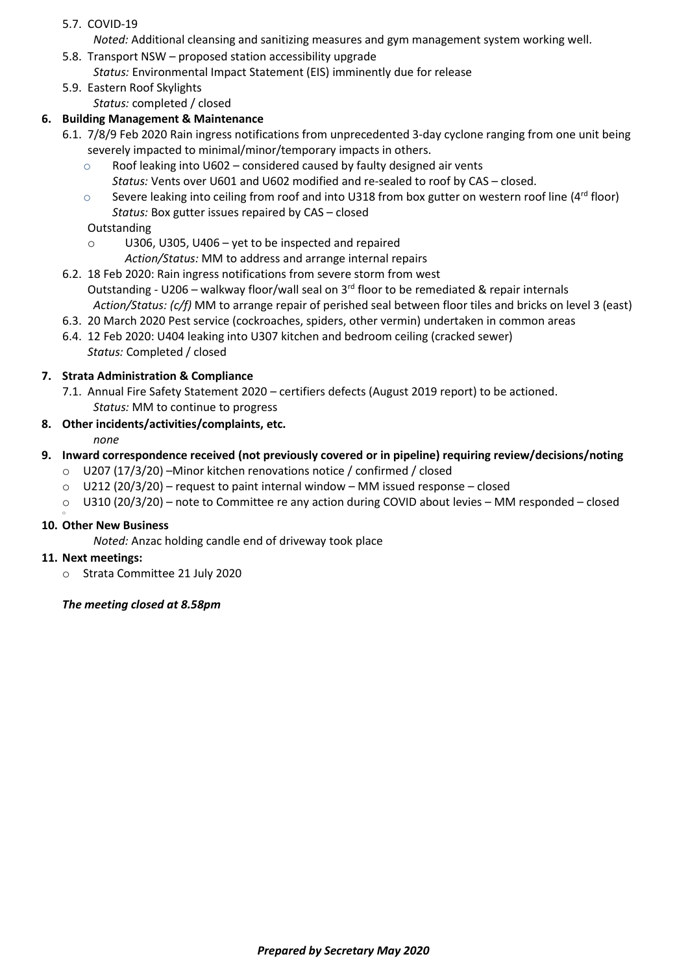# 5.7. COVID-19

- *Noted:* Additional cleansing and sanitizing measures and gym management system working well.
- 5.8. Transport NSW proposed station accessibility upgrade *Status:* Environmental Impact Statement (EIS) imminently due for release
- 5.9. Eastern Roof Skylights

*Status:* completed / closed

# **6. Building Management & Maintenance**

- 6.1. 7/8/9 Feb 2020 Rain ingress notifications from unprecedented 3-day cyclone ranging from one unit being severely impacted to minimal/minor/temporary impacts in others.
	- $\circ$  Roof leaking into U602 considered caused by faulty designed air vents *Status:* Vents over U601 and U602 modified and re-sealed to roof by CAS – closed.
	- $\circ$  Severe leaking into ceiling from roof and into U318 from box gutter on western roof line (4<sup>rd</sup> floor) *Status:* Box gutter issues repaired by CAS – closed

# Outstanding

- o U306, U305, U406 yet to be inspected and repaired
	- *Action/Status:* MM to address and arrange internal repairs
- 6.2. 18 Feb 2020: Rain ingress notifications from severe storm from west Outstanding - U206 – walkway floor/wall seal on  $3<sup>rd</sup>$  floor to be remediated & repair internals *Action/Status: (c/f)* MM to arrange repair of perished seal between floor tiles and bricks on level 3 (east)
- 6.3. 20 March 2020 Pest service (cockroaches, spiders, other vermin) undertaken in common areas
- 6.4. 12 Feb 2020: U404 leaking into U307 kitchen and bedroom ceiling (cracked sewer) *Status:* Completed / closed

# **7. Strata Administration & Compliance**

7.1. Annual Fire Safety Statement 2020 – certifiers defects (August 2019 report) to be actioned. *Status:* MM to continue to progress

# **8. Other incidents/activities/complaints, etc.**

*none*

# **9. Inward correspondence received (not previously covered or in pipeline) requiring review/decisions/noting**

- o U207 (17/3/20) –Minor kitchen renovations notice / confirmed / closed
- $\circ$  U212 (20/3/20) request to paint internal window MM issued response closed
- o U310 (20/3/20) note to Committee re any action during COVID about levies MM responded closed

### **10. Other New Business**

*Noted:* Anzac holding candle end of driveway took place

### **11. Next meetings:**

o

o Strata Committee 21 July 2020

### *The meeting closed at 8.58pm*